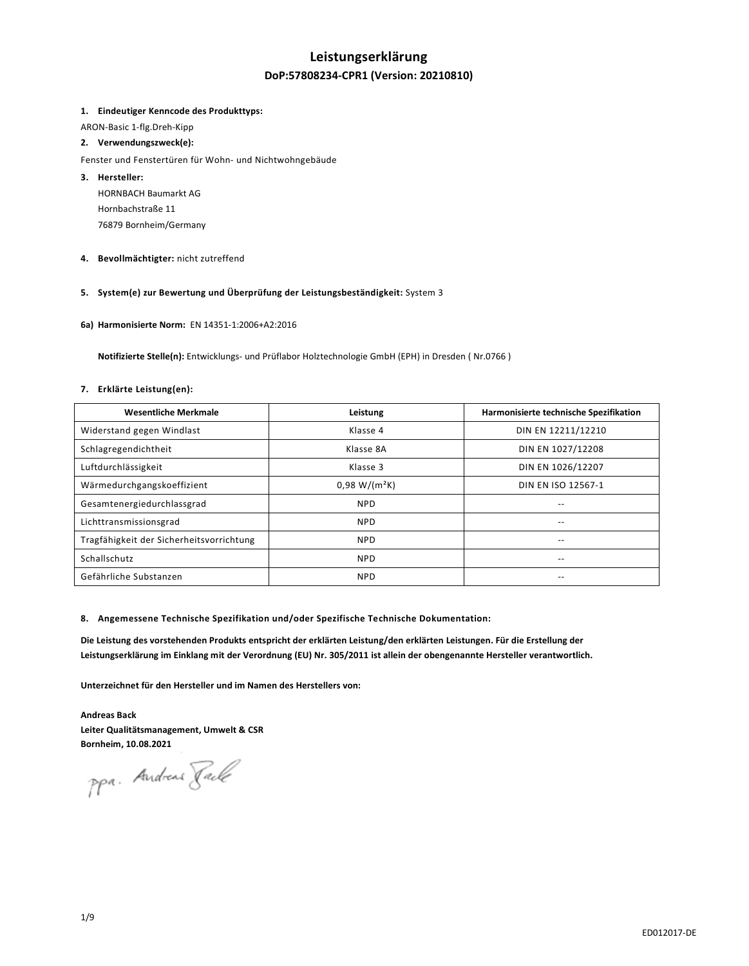# **Leistungserklärung**

# **DoP:57808234-CPR1 (Version: 20210810)**

### **1. Eindeutiger Kenncode des Produkttyps:**

ARON-Basic 1-flg.Dreh-Kipp

## **2. Verwendungszweck(e):**

Fenster und Fenstertüren für Wohn- und Nichtwohngebäude

- **3. Hersteller:**  HORNBACH Baumarkt AG Hornbachstraße 11 76879 Bornheim/Germany
- **4. Bevollmächtigter:** nicht zutreffend

## **5. System(e) zur Bewertung und Überprüfung der Leistungsbeständigkeit:** System 3

**6a) Harmonisierte Norm:** EN 14351-1:2006+A2:2016

 **Notifizierte Stelle(n):** Entwicklungs- und Prüflabor Holztechnologie GmbH (EPH) in Dresden ( Nr.0766 )

# **7. Erklärte Leistung(en):**

| <b>Wesentliche Merkmale</b>              | Leistung        | Harmonisierte technische Spezifikation |
|------------------------------------------|-----------------|----------------------------------------|
| Widerstand gegen Windlast                | Klasse 4        | DIN EN 12211/12210                     |
| Schlagregendichtheit                     | Klasse 8A       | DIN EN 1027/12208                      |
| Luftdurchlässigkeit                      | Klasse 3        | DIN EN 1026/12207                      |
| Wärmedurchgangskoeffizient               | $0.98 W/(m^2K)$ | DIN EN ISO 12567-1                     |
| Gesamtenergiedurchlassgrad               | <b>NPD</b>      | --                                     |
| Lichttransmissionsgrad                   | <b>NPD</b>      | --                                     |
| Tragfähigkeit der Sicherheitsvorrichtung | <b>NPD</b>      | --                                     |
| Schallschutz                             | <b>NPD</b>      | --                                     |
| Gefährliche Substanzen                   | <b>NPD</b>      | --                                     |

#### **8. Angemessene Technische Spezifikation und/oder Spezifische Technische Dokumentation:**

**Die Leistung des vorstehenden Produkts entspricht der erklärten Leistung/den erklärten Leistungen. Für die Erstellung der Leistungserklärung im Einklang mit der Verordnung (EU) Nr. 305/2011 ist allein der obengenannte Hersteller verantwortlich.** 

**Unterzeichnet für den Hersteller und im Namen des Herstellers von:** 

**Andreas Back Leiter Qualitätsmanagement, Umwelt & CSR Bornheim, 10.08.2021** 

ppa. Andreas Jack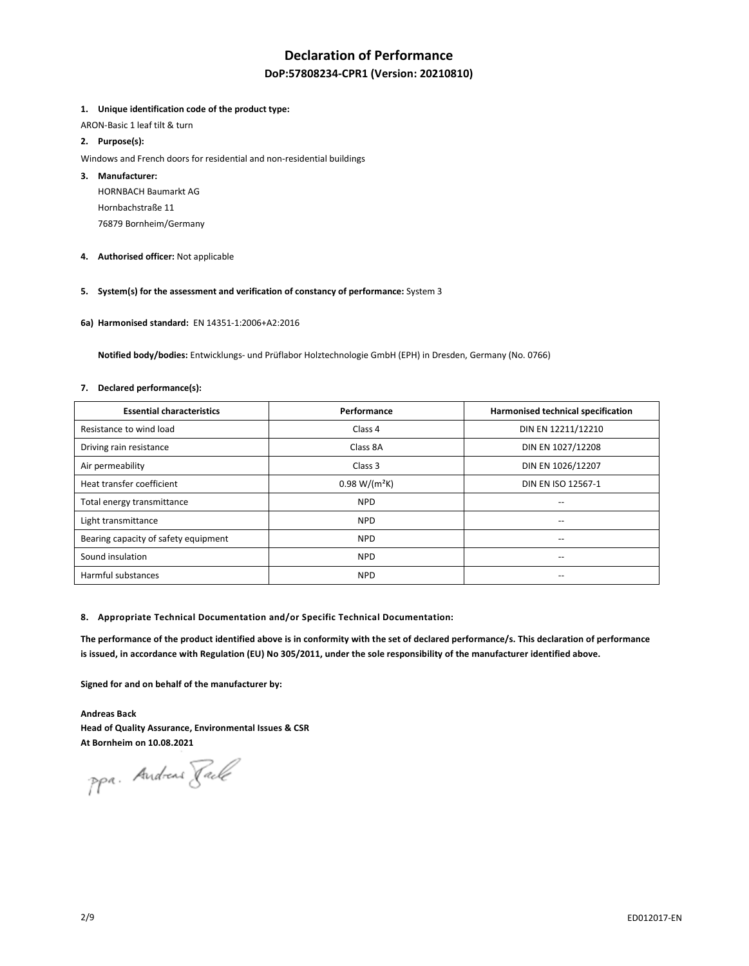# **Declaration of Performance**

# **DoP:57808234-CPR1 (Version: 20210810)**

### **1. Unique identification code of the product type:**

ARON-Basic 1 leaf tilt & turn

## **2. Purpose(s):**

Windows and French doors for residential and non-residential buildings

### **3. Manufacturer:**

HORNBACH Baumarkt AG Hornbachstraße 11 76879 Bornheim/Germany

**4. Authorised officer:** Not applicable

# **5. System(s) for the assessment and verification of constancy of performance:** System 3

**6a) Harmonised standard:** EN 14351-1:2006+A2:2016

 **Notified body/bodies:** Entwicklungs- und Prüflabor Holztechnologie GmbH (EPH) in Dresden, Germany (No. 0766)

#### **7. Declared performance(s):**

| <b>Essential characteristics</b>     | Performance     | Harmonised technical specification    |
|--------------------------------------|-----------------|---------------------------------------|
| Resistance to wind load              | Class 4         | DIN EN 12211/12210                    |
| Driving rain resistance              | Class 8A        | DIN EN 1027/12208                     |
| Air permeability                     | Class 3         | DIN EN 1026/12207                     |
| Heat transfer coefficient            | $0.98 W/(m^2K)$ | DIN EN ISO 12567-1                    |
| Total energy transmittance           | <b>NPD</b>      | $-$                                   |
| Light transmittance                  | <b>NPD</b>      | --                                    |
| Bearing capacity of safety equipment | <b>NPD</b>      | $\hspace{0.05cm}$ – $\hspace{0.05cm}$ |
| Sound insulation                     | <b>NPD</b>      | $\overline{\phantom{a}}$              |
| Harmful substances                   | <b>NPD</b>      | $\overline{\phantom{a}}$              |

#### **8. Appropriate Technical Documentation and/or Specific Technical Documentation:**

**The performance of the product identified above is in conformity with the set of declared performance/s. This declaration of performance is issued, in accordance with Regulation (EU) No 305/2011, under the sole responsibility of the manufacturer identified above.** 

**Signed for and on behalf of the manufacturer by:** 

**Andreas Back Head of Quality Assurance, Environmental Issues & CSR At Bornheim on 10.08.2021** 

ppa. Andreas Pack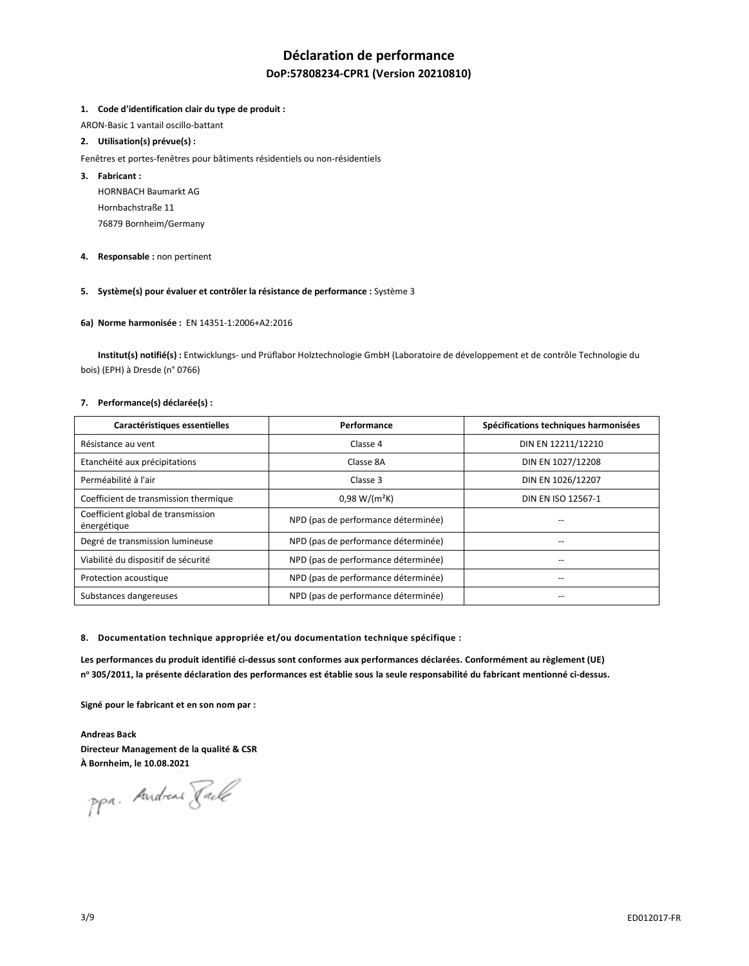# **Déclaration de performance DoP:57808234-CPR1 (Version 20210810)**

### **1. Code d'identification clair du type de produit :**

ARON-Basic 1 vantail oscillo-battant

# **2. Utilisation(s) prévue(s) :**

- Fenêtres et portes-fenêtres pour bâtiments résidentiels ou non-résidentiels
- **3. Fabricant :** 
	- HORNBACH Baumarkt AG Hornbachstraße 11 76879 Bornheim/Germany
- **4. Responsable :** non pertinent

# **5. Système(s) pour évaluer et contrôler la résistance de performance :** Système 3

### **6a) Norme harmonisée :** EN 14351-1:2006+A2:2016

 **Institut(s) notifié(s) :** Entwicklungs- und Prüflabor Holztechnologie GmbH (Laboratoire de développement et de contrôle Technologie du bois) (EPH) à Dresde (n° 0766)

### **7. Performance(s) déclarée(s) :**

| Caractéristiques essentielles                     | Performance                         | Spécifications techniques harmonisées |
|---------------------------------------------------|-------------------------------------|---------------------------------------|
| Résistance au vent                                | Classe 4                            | DIN EN 12211/12210                    |
| Etanchéité aux précipitations                     | Classe 8A                           | DIN EN 1027/12208                     |
| Perméabilité à l'air                              | Classe 3                            | DIN EN 1026/12207                     |
| Coefficient de transmission thermique             | $0,98 W/(m^2K)$                     | DIN EN ISO 12567-1                    |
| Coefficient global de transmission<br>énergétique | NPD (pas de performance déterminée) |                                       |
| Degré de transmission lumineuse                   | NPD (pas de performance déterminée) |                                       |
| Viabilité du dispositif de sécurité               | NPD (pas de performance déterminée) |                                       |
| Protection acoustique                             | NPD (pas de performance déterminée) |                                       |
| Substances dangereuses                            | NPD (pas de performance déterminée) |                                       |

**8. Documentation technique appropriée et/ou documentation technique spécifique :** 

**Les performances du produit identifié ci-dessus sont conformes aux performances déclarées. Conformément au règlement (UE) n o 305/2011, la présente déclaration des performances est établie sous la seule responsabilité du fabricant mentionné ci-dessus.** 

**Signé pour le fabricant et en son nom par :** 

**Andreas Back Directeur Management de la qualité & CSR À Bornheim, le 10.08.2021** 

ppa. Andreas Tack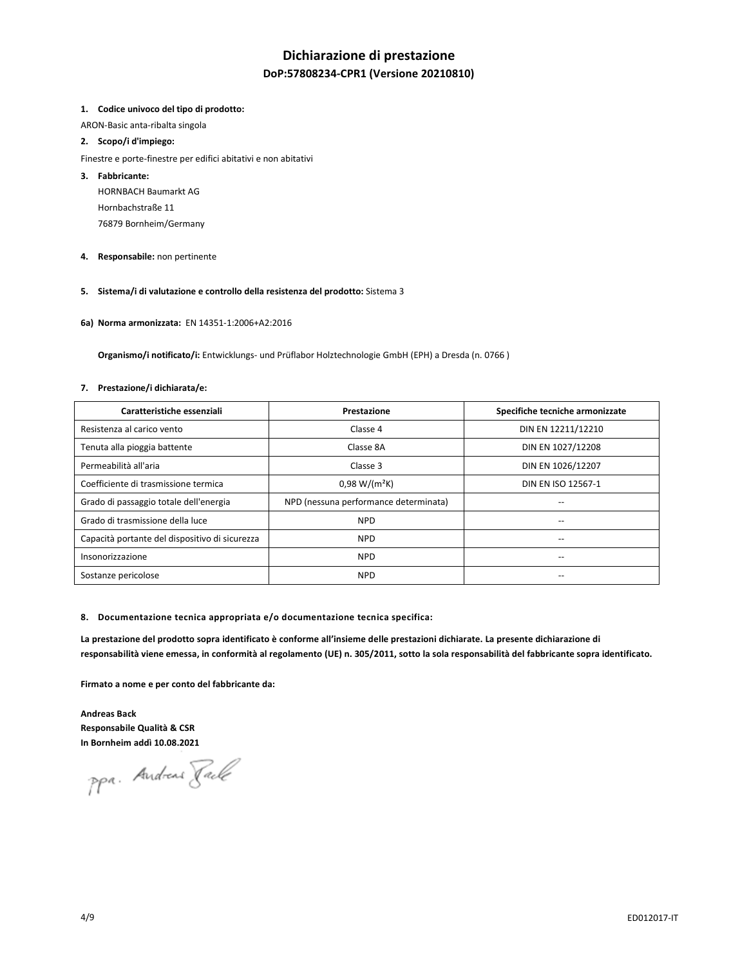# **Dichiarazione di prestazione**

# **DoP:57808234-CPR1 (Versione 20210810)**

## **1. Codice univoco del tipo di prodotto:**

ARON-Basic anta-ribalta singola

## **2. Scopo/i d'impiego:**

- Finestre e porte-finestre per edifici abitativi e non abitativi
- **3. Fabbricante:**

HORNBACH Baumarkt AG Hornbachstraße 11 76879 Bornheim/Germany

**4. Responsabile:** non pertinente

# **5. Sistema/i di valutazione e controllo della resistenza del prodotto:** Sistema 3

**6a) Norma armonizzata:** EN 14351-1:2006+A2:2016

 **Organismo/i notificato/i:** Entwicklungs- und Prüflabor Holztechnologie GmbH (EPH) a Dresda (n. 0766 )

#### **7. Prestazione/i dichiarata/e:**

| Caratteristiche essenziali                     | Prestazione                           | Specifiche tecniche armonizzate |
|------------------------------------------------|---------------------------------------|---------------------------------|
| Resistenza al carico vento                     | Classe 4                              | DIN EN 12211/12210              |
| Tenuta alla pioggia battente                   | Classe 8A                             | DIN EN 1027/12208               |
| Permeabilità all'aria                          | Classe 3                              | DIN EN 1026/12207               |
| Coefficiente di trasmissione termica           | $0.98 W/(m^2K)$                       | DIN EN ISO 12567-1              |
| Grado di passaggio totale dell'energia         | NPD (nessuna performance determinata) | --                              |
| Grado di trasmissione della luce               | <b>NPD</b>                            | --                              |
| Capacità portante del dispositivo di sicurezza | <b>NPD</b>                            | --                              |
| Insonorizzazione                               | <b>NPD</b>                            | --                              |
| Sostanze pericolose                            | <b>NPD</b>                            | --                              |

#### **8. Documentazione tecnica appropriata e/o documentazione tecnica specifica:**

**La prestazione del prodotto sopra identificato è conforme all'insieme delle prestazioni dichiarate. La presente dichiarazione di responsabilità viene emessa, in conformità al regolamento (UE) n. 305/2011, sotto la sola responsabilità del fabbricante sopra identificato.** 

**Firmato a nome e per conto del fabbricante da:** 

**Andreas Back Responsabile Qualità & CSR In Bornheim addì 10.08.2021** 

ppa. Andreas Fack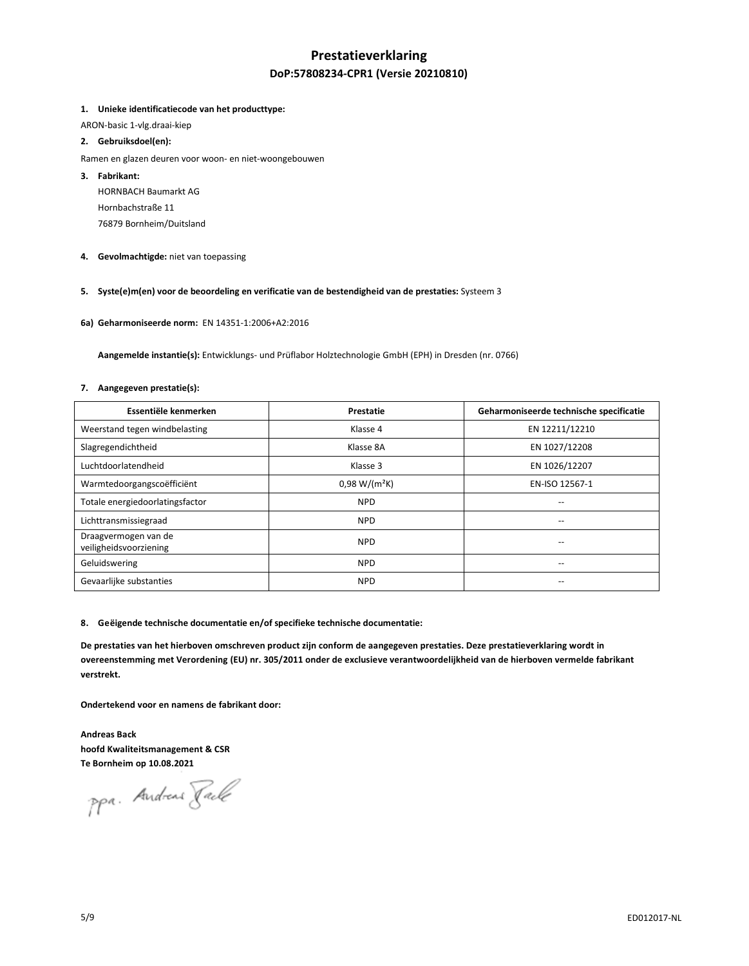# **Prestatieverklaring DoP:57808234-CPR1 (Versie 20210810)**

## **1. Unieke identificatiecode van het producttype:**

ARON-basic 1-vlg.draai-kiep

## **2. Gebruiksdoel(en):**

- Ramen en glazen deuren voor woon- en niet-woongebouwen
- **3. Fabrikant:** 
	- HORNBACH Baumarkt AG Hornbachstraße 11 76879 Bornheim/Duitsland
- **4. Gevolmachtigde:** niet van toepassing

# **5. Syste(e)m(en) voor de beoordeling en verificatie van de bestendigheid van de prestaties:** Systeem 3

**6a) Geharmoniseerde norm:** EN 14351-1:2006+A2:2016

 **Aangemelde instantie(s):** Entwicklungs- und Prüflabor Holztechnologie GmbH (EPH) in Dresden (nr. 0766)

#### **7. Aangegeven prestatie(s):**

| Essentiële kenmerken                           | Prestatie       | Geharmoniseerde technische specificatie |
|------------------------------------------------|-----------------|-----------------------------------------|
| Weerstand tegen windbelasting                  | Klasse 4        | EN 12211/12210                          |
| Slagregendichtheid                             | Klasse 8A       | EN 1027/12208                           |
| Luchtdoorlatendheid                            | Klasse 3        | EN 1026/12207                           |
| Warmtedoorgangscoëfficiënt                     | $0,98 W/(m^2K)$ | EN-ISO 12567-1                          |
| Totale energiedoorlatingsfactor                | <b>NPD</b>      | --                                      |
| Lichttransmissiegraad                          | <b>NPD</b>      | --                                      |
| Draagvermogen van de<br>veiligheidsvoorziening | <b>NPD</b>      |                                         |
| Geluidswering                                  | <b>NPD</b>      | --                                      |
| Gevaarlijke substanties                        | <b>NPD</b>      |                                         |

#### **8. Geëigende technische documentatie en/of specifieke technische documentatie:**

**De prestaties van het hierboven omschreven product zijn conform de aangegeven prestaties. Deze prestatieverklaring wordt in overeenstemming met Verordening (EU) nr. 305/2011 onder de exclusieve verantwoordelijkheid van de hierboven vermelde fabrikant verstrekt.** 

**Ondertekend voor en namens de fabrikant door:** 

**Andreas Back hoofd Kwaliteitsmanagement & CSR Te Bornheim op 10.08.2021** 

ppa. Andreas Fack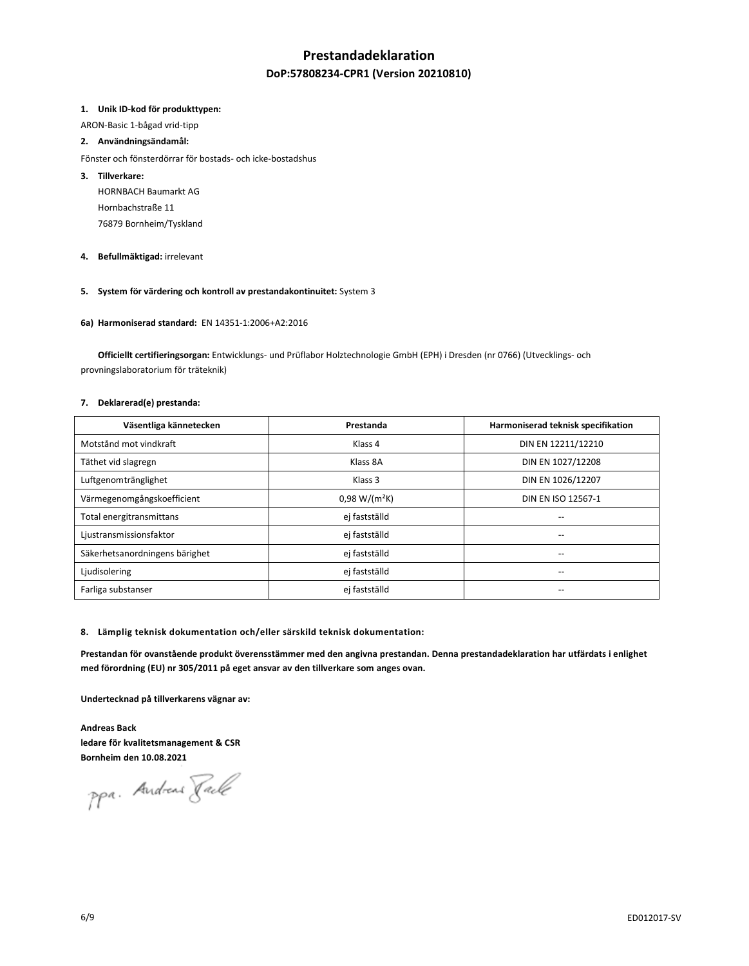# **Prestandadeklaration**

# **DoP:57808234-CPR1 (Version 20210810)**

#### **1. Unik ID-kod för produkttypen:**

ARON-Basic 1-bågad vrid-tipp

## **2. Användningsändamål:**

- Fönster och fönsterdörrar för bostads- och icke-bostadshus
- **3. Tillverkare:** 
	- HORNBACH Baumarkt AG Hornbachstraße 11 76879 Bornheim/Tyskland
- **4. Befullmäktigad:** irrelevant

# **5. System för värdering och kontroll av prestandakontinuitet:** System 3

**6a) Harmoniserad standard:** EN 14351-1:2006+A2:2016

 **Officiellt certifieringsorgan:** Entwicklungs- und Prüflabor Holztechnologie GmbH (EPH) i Dresden (nr 0766) (Utvecklings- och provningslaboratorium för träteknik)

## **7. Deklarerad(e) prestanda:**

| Väsentliga kännetecken         | Prestanda       | Harmoniserad teknisk specifikation |
|--------------------------------|-----------------|------------------------------------|
| Motstånd mot vindkraft         | Klass 4         | DIN EN 12211/12210                 |
| Täthet vid slagregn            | Klass 8A        | DIN EN 1027/12208                  |
| Luftgenomtränglighet           | Klass 3         | DIN EN 1026/12207                  |
| Värmegenomgångskoefficient     | $0,98 W/(m^2K)$ | DIN EN ISO 12567-1                 |
| Total energitransmittans       | ej fastställd   | --                                 |
| Ljustransmissionsfaktor        | ej fastställd   | --                                 |
| Säkerhetsanordningens bärighet | ej fastställd   | --                                 |
| Ljudisolering                  | ej fastställd   | --                                 |
| Farliga substanser             | ej fastställd   | --                                 |

**8. Lämplig teknisk dokumentation och/eller särskild teknisk dokumentation:** 

**Prestandan för ovanstående produkt överensstämmer med den angivna prestandan. Denna prestandadeklaration har utfärdats i enlighet med förordning (EU) nr 305/2011 på eget ansvar av den tillverkare som anges ovan.** 

**Undertecknad på tillverkarens vägnar av:** 

**Andreas Back ledare för kvalitetsmanagement & CSR Bornheim den 10.08.2021** 

ppa. Andreas Jack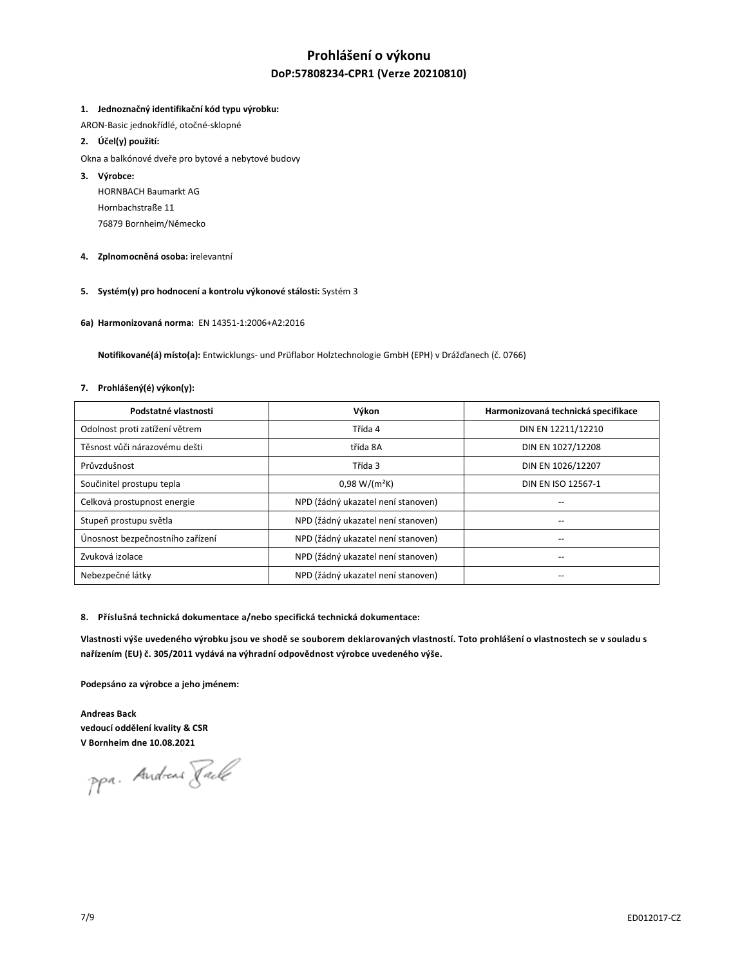# **Prohlášení o výkonu DoP:57808234-CPR1 (Verze 20210810)**

## **1. Jednoznačný identifikační kód typu výrobku:**

ARON-Basic jednokřídlé, otočné-sklopné

## **2. Účel(y) použití:**

- Okna a balkónové dveře pro bytové a nebytové budovy
- **3. Výrobce:**

HORNBACH Baumarkt AG Hornbachstraße 11 76879 Bornheim/Německo

- **4. Zplnomocněná osoba:** irelevantní
- **5. Systém(y) pro hodnocení a kontrolu výkonové stálosti:** Systém 3
- **6a) Harmonizovaná norma:** EN 14351-1:2006+A2:2016

 **Notifikované(á) místo(a):** Entwicklungs- und Prüflabor Holztechnologie GmbH (EPH) v Drážďanech (č. 0766)

#### **7. Prohlášený(é) výkon(y):**

| Podstatné vlastnosti             | Výkon                              | Harmonizovaná technická specifikace |
|----------------------------------|------------------------------------|-------------------------------------|
| Odolnost proti zatížení větrem   | Třída 4                            | DIN EN 12211/12210                  |
| Těsnost vůči nárazovému dešti    | třída 8A                           | DIN EN 1027/12208                   |
| Průvzdušnost                     | Třída 3                            | DIN EN 1026/12207                   |
| Součinitel prostupu tepla        | $0.98 W/(m^2K)$                    | DIN EN ISO 12567-1                  |
| Celková prostupnost energie      | NPD (žádný ukazatel není stanoven) | --                                  |
| Stupeň prostupu světla           | NPD (žádný ukazatel není stanoven) |                                     |
| Únosnost bezpečnostního zařízení | NPD (žádný ukazatel není stanoven) | $-$                                 |
| Zvuková izolace                  | NPD (žádný ukazatel není stanoven) | $\overline{\phantom{a}}$            |
| Nebezpečné látky                 | NPD (žádný ukazatel není stanoven) |                                     |

#### **8. Příslušná technická dokumentace a/nebo specifická technická dokumentace:**

Vlastnosti výše uvedeného výrobku jsou ve shodě se souborem deklarovaných vlastností. Toto prohlášení o vlastnostech se v souladu s **nařízením (EU) č. 305/2011 vydává na výhradní odpovědnost výrobce uvedeného výše.**

**Podepsáno za výrobce a jeho jménem:** 

**Andreas Back vedoucí oddělení kvality & CSR V Bornheim dne 10.08.2021** 

ppa. Andreas Fack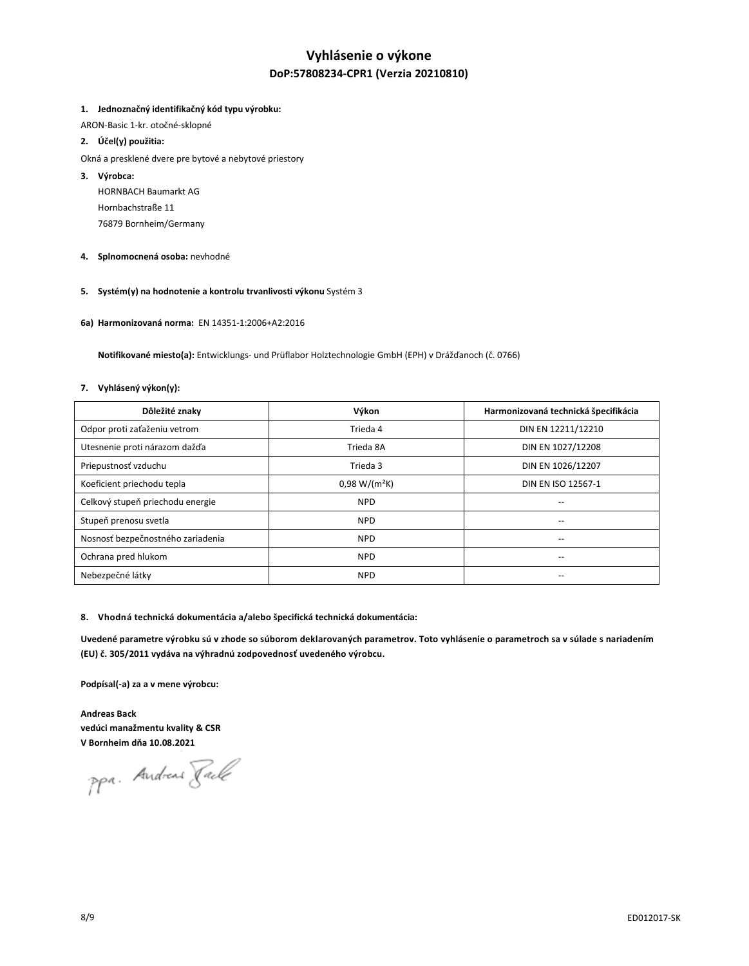# **Vyhlásenie o výkone DoP:57808234-CPR1 (Verzia 20210810)**

## **1. Jednoznačný identifikačný kód typu výrobku:**

ARON-Basic 1-kr. otočné-sklopné

# **2. Účel(y) použitia:**

- Okná a presklené dvere pre bytové a nebytové priestory
- **3. Výrobca:** 
	- HORNBACH Baumarkt AG Hornbachstraße 11 76879 Bornheim/Germany
- **4. Splnomocnená osoba:** nevhodné
- **5. Systém(y) na hodnotenie a kontrolu trvanlivosti výkonu** Systém 3
- **6a) Harmonizovaná norma:** EN 14351-1:2006+A2:2016

 **Notifikované miesto(a):** Entwicklungs- und Prüflabor Holztechnologie GmbH (EPH) v Drážďanoch (č. 0766)

#### **7. Vyhlásený výkon(y):**

| Dôležité znaky                    | Výkon           | Harmonizovaná technická špecifikácia |
|-----------------------------------|-----------------|--------------------------------------|
| Odpor proti zaťaženiu vetrom      | Trieda 4        | DIN EN 12211/12210                   |
| Utesnenie proti nárazom dažďa     | Trieda 8A       | DIN EN 1027/12208                    |
| Priepustnosť vzduchu              | Trieda 3        | DIN EN 1026/12207                    |
| Koeficient priechodu tepla        | $0.98 W/(m^2K)$ | DIN EN ISO 12567-1                   |
| Celkový stupeň priechodu energie  | <b>NPD</b>      | $-$                                  |
| Stupeň prenosu svetla             | <b>NPD</b>      |                                      |
| Nosnosť bezpečnostného zariadenia | <b>NPD</b>      | $\overline{\phantom{a}}$             |
| Ochrana pred hlukom               | <b>NPD</b>      | $\overline{\phantom{a}}$             |
| Nebezpečné látky                  | <b>NPD</b>      | --                                   |

## **8. Vhodná technická dokumentácia a/alebo špecifická technická dokumentácia:**

**Uvedené parametre výrobku sú v zhode so súborom deklarovaných parametrov. Toto vyhlásenie o parametroch sa v súlade s nariadením (EU) č. 305/2011 vydáva na výhradnú zodpovednosť uvedeného výrobcu.**

**Podpísal(-a) za a v mene výrobcu:** 

**Andreas Back vedúci manažmentu kvality & CSR V Bornheim dňa 10.08.2021**

ppa. Andreas Fack